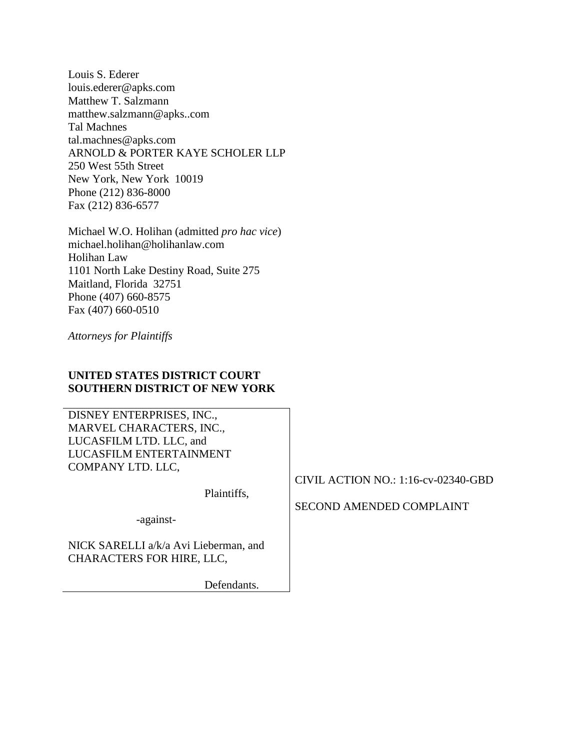Louis S. Ederer louis.ederer@apks.com Matthew T. Salzmann matthew.salzmann@apks..com Tal Machnes tal.machnes@apks.com ARNOLD & PORTER KAYE SCHOLER LLP 250 West 55th Street New York, New York 10019 Phone (212) 836-8000 Fax (212) 836-6577

Michael W.O. Holihan (admitted *pro hac vice*) michael.holihan@holihanlaw.com Holihan Law 1101 North Lake Destiny Road, Suite 275 Maitland, Florida 32751 Phone (407) 660-8575 Fax (407) 660-0510

*Attorneys for Plaintiffs*

# **UNITED STATES DISTRICT COURT SOUTHERN DISTRICT OF NEW YORK**

DISNEY ENTERPRISES, INC., MARVEL CHARACTERS, INC., LUCASFILM LTD. LLC, and LUCASFILM ENTERTAINMENT COMPANY LTD. LLC,

Plaintiffs,

-against-

NICK SARELLI a/k/a Avi Lieberman, and CHARACTERS FOR HIRE, LLC,

Defendants.

CIVIL ACTION NO.: 1:16-cv-02340-GBD

# SECOND AMENDED COMPLAINT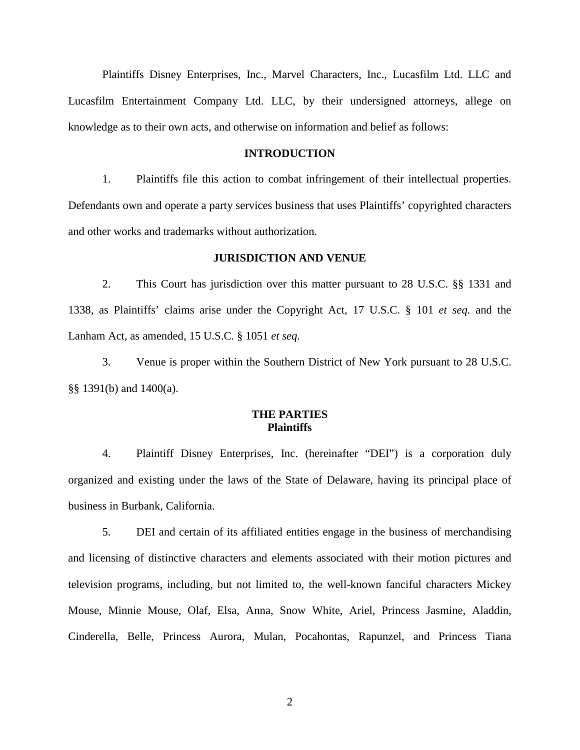Plaintiffs Disney Enterprises, Inc., Marvel Characters, Inc., Lucasfilm Ltd. LLC and Lucasfilm Entertainment Company Ltd. LLC, by their undersigned attorneys, allege on knowledge as to their own acts, and otherwise on information and belief as follows:

## **INTRODUCTION**

1. Plaintiffs file this action to combat infringement of their intellectual properties. Defendants own and operate a party services business that uses Plaintiffs' copyrighted characters and other works and trademarks without authorization.

#### **JURISDICTION AND VENUE**

2. This Court has jurisdiction over this matter pursuant to 28 U.S.C. §§ 1331 and 1338, as Plaintiffs' claims arise under the Copyright Act, 17 U.S.C. § 101 *et seq.* and the Lanham Act, as amended, 15 U.S.C. § 1051 *et seq.*

3. Venue is proper within the Southern District of New York pursuant to 28 U.S.C. §§ 1391(b) and 1400(a).

# **THE PARTIES Plaintiffs**

4. Plaintiff Disney Enterprises, Inc. (hereinafter "DEI") is a corporation duly organized and existing under the laws of the State of Delaware, having its principal place of business in Burbank, California.

5. DEI and certain of its affiliated entities engage in the business of merchandising and licensing of distinctive characters and elements associated with their motion pictures and television programs, including, but not limited to, the well-known fanciful characters Mickey Mouse, Minnie Mouse, Olaf, Elsa, Anna, Snow White, Ariel, Princess Jasmine, Aladdin, Cinderella, Belle, Princess Aurora, Mulan, Pocahontas, Rapunzel, and Princess Tiana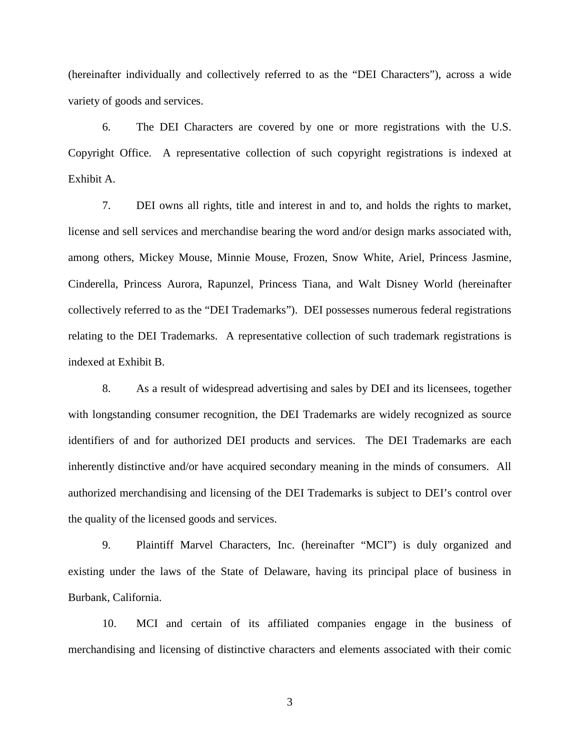(hereinafter individually and collectively referred to as the "DEI Characters"), across a wide variety of goods and services.

6. The DEI Characters are covered by one or more registrations with the U.S. Copyright Office. A representative collection of such copyright registrations is indexed at Exhibit A.

7. DEI owns all rights, title and interest in and to, and holds the rights to market, license and sell services and merchandise bearing the word and/or design marks associated with, among others, Mickey Mouse, Minnie Mouse, Frozen, Snow White, Ariel, Princess Jasmine, Cinderella, Princess Aurora, Rapunzel, Princess Tiana, and Walt Disney World (hereinafter collectively referred to as the "DEI Trademarks"). DEI possesses numerous federal registrations relating to the DEI Trademarks. A representative collection of such trademark registrations is indexed at Exhibit B.

8. As a result of widespread advertising and sales by DEI and its licensees, together with longstanding consumer recognition, the DEI Trademarks are widely recognized as source identifiers of and for authorized DEI products and services. The DEI Trademarks are each inherently distinctive and/or have acquired secondary meaning in the minds of consumers. All authorized merchandising and licensing of the DEI Trademarks is subject to DEI's control over the quality of the licensed goods and services.

9. Plaintiff Marvel Characters, Inc. (hereinafter "MCI") is duly organized and existing under the laws of the State of Delaware, having its principal place of business in Burbank, California.

10. MCI and certain of its affiliated companies engage in the business of merchandising and licensing of distinctive characters and elements associated with their comic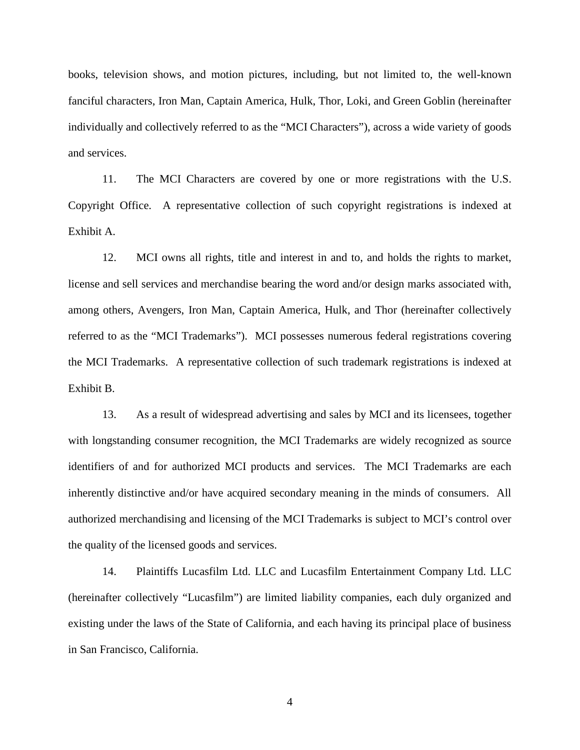books, television shows, and motion pictures, including, but not limited to, the well-known fanciful characters, Iron Man, Captain America, Hulk, Thor, Loki, and Green Goblin (hereinafter individually and collectively referred to as the "MCI Characters"), across a wide variety of goods and services.

11. The MCI Characters are covered by one or more registrations with the U.S. Copyright Office. A representative collection of such copyright registrations is indexed at Exhibit A.

12. MCI owns all rights, title and interest in and to, and holds the rights to market, license and sell services and merchandise bearing the word and/or design marks associated with, among others, Avengers, Iron Man, Captain America, Hulk, and Thor (hereinafter collectively referred to as the "MCI Trademarks"). MCI possesses numerous federal registrations covering the MCI Trademarks. A representative collection of such trademark registrations is indexed at Exhibit B.

13. As a result of widespread advertising and sales by MCI and its licensees, together with longstanding consumer recognition, the MCI Trademarks are widely recognized as source identifiers of and for authorized MCI products and services. The MCI Trademarks are each inherently distinctive and/or have acquired secondary meaning in the minds of consumers. All authorized merchandising and licensing of the MCI Trademarks is subject to MCI's control over the quality of the licensed goods and services.

14. Plaintiffs Lucasfilm Ltd. LLC and Lucasfilm Entertainment Company Ltd. LLC (hereinafter collectively "Lucasfilm") are limited liability companies, each duly organized and existing under the laws of the State of California, and each having its principal place of business in San Francisco, California.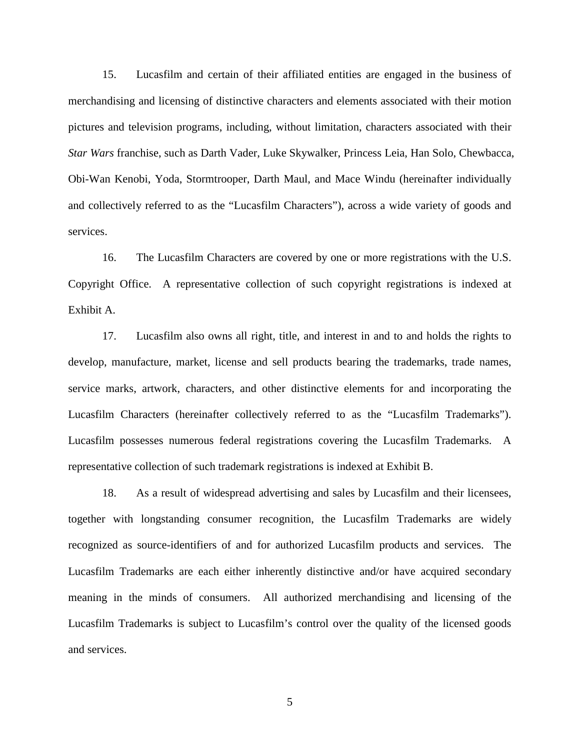15. Lucasfilm and certain of their affiliated entities are engaged in the business of merchandising and licensing of distinctive characters and elements associated with their motion pictures and television programs, including, without limitation, characters associated with their *Star Wars* franchise, such as Darth Vader, Luke Skywalker, Princess Leia, Han Solo, Chewbacca, Obi-Wan Kenobi, Yoda, Stormtrooper, Darth Maul, and Mace Windu (hereinafter individually and collectively referred to as the "Lucasfilm Characters"), across a wide variety of goods and services.

16. The Lucasfilm Characters are covered by one or more registrations with the U.S. Copyright Office. A representative collection of such copyright registrations is indexed at Exhibit A.

17. Lucasfilm also owns all right, title, and interest in and to and holds the rights to develop, manufacture, market, license and sell products bearing the trademarks, trade names, service marks, artwork, characters, and other distinctive elements for and incorporating the Lucasfilm Characters (hereinafter collectively referred to as the "Lucasfilm Trademarks"). Lucasfilm possesses numerous federal registrations covering the Lucasfilm Trademarks. A representative collection of such trademark registrations is indexed at Exhibit B.

18. As a result of widespread advertising and sales by Lucasfilm and their licensees, together with longstanding consumer recognition, the Lucasfilm Trademarks are widely recognized as source-identifiers of and for authorized Lucasfilm products and services. The Lucasfilm Trademarks are each either inherently distinctive and/or have acquired secondary meaning in the minds of consumers. All authorized merchandising and licensing of the Lucasfilm Trademarks is subject to Lucasfilm's control over the quality of the licensed goods and services.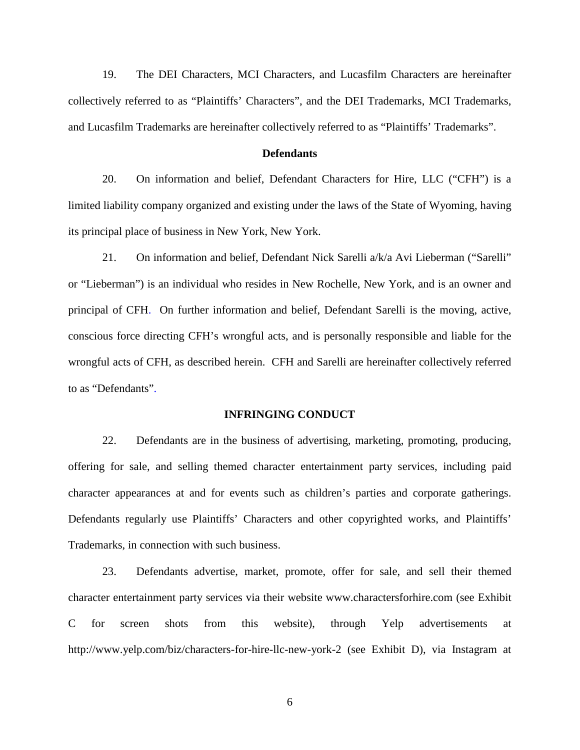19. The DEI Characters, MCI Characters, and Lucasfilm Characters are hereinafter collectively referred to as "Plaintiffs' Characters", and the DEI Trademarks, MCI Trademarks, and Lucasfilm Trademarks are hereinafter collectively referred to as "Plaintiffs' Trademarks".

#### **Defendants**

20. On information and belief, Defendant Characters for Hire, LLC ("CFH") is a limited liability company organized and existing under the laws of the State of Wyoming, having its principal place of business in New York, New York.

21. On information and belief, Defendant Nick Sarelli a/k/a Avi Lieberman ("Sarelli" or "Lieberman") is an individual who resides in New Rochelle, New York, and is an owner and principal of CFH. On further information and belief, Defendant Sarelli is the moving, active, conscious force directing CFH's wrongful acts, and is personally responsible and liable for the wrongful acts of CFH, as described herein. CFH and Sarelli are hereinafter collectively referred to as "Defendants".

#### **INFRINGING CONDUCT**

22. Defendants are in the business of advertising, marketing, promoting, producing, offering for sale, and selling themed character entertainment party services, including paid character appearances at and for events such as children's parties and corporate gatherings. Defendants regularly use Plaintiffs' Characters and other copyrighted works, and Plaintiffs' Trademarks, in connection with such business.

23. Defendants advertise, market, promote, offer for sale, and sell their themed character entertainment party services via their website www.charactersforhire.com (see Exhibit C for screen shots from this website), through Yelp advertisements at http://www.yelp.com/biz/characters-for-hire-llc-new-york-2 (see Exhibit D), via Instagram at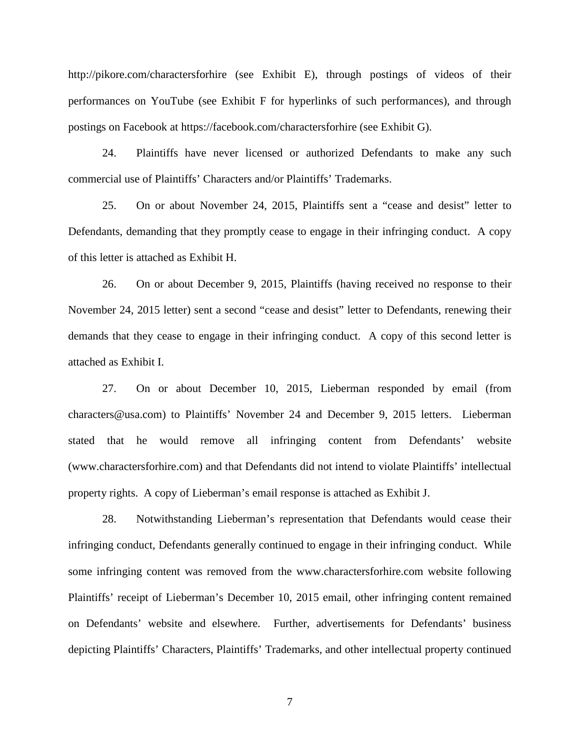http://pikore.com/charactersforhire (see Exhibit E), through postings of videos of their performances on YouTube (see Exhibit F for hyperlinks of such performances), and through postings on Facebook at https://facebook.com/charactersforhire (see Exhibit G).

24. Plaintiffs have never licensed or authorized Defendants to make any such commercial use of Plaintiffs' Characters and/or Plaintiffs' Trademarks.

25. On or about November 24, 2015, Plaintiffs sent a "cease and desist" letter to Defendants, demanding that they promptly cease to engage in their infringing conduct. A copy of this letter is attached as Exhibit H.

26. On or about December 9, 2015, Plaintiffs (having received no response to their November 24, 2015 letter) sent a second "cease and desist" letter to Defendants, renewing their demands that they cease to engage in their infringing conduct. A copy of this second letter is attached as Exhibit I.

27. On or about December 10, 2015, Lieberman responded by email (from characters@usa.com) to Plaintiffs' November 24 and December 9, 2015 letters. Lieberman stated that he would remove all infringing content from Defendants' website (www.charactersforhire.com) and that Defendants did not intend to violate Plaintiffs' intellectual property rights. A copy of Lieberman's email response is attached as Exhibit J.

28. Notwithstanding Lieberman's representation that Defendants would cease their infringing conduct, Defendants generally continued to engage in their infringing conduct. While some infringing content was removed from the www.charactersforhire.com website following Plaintiffs' receipt of Lieberman's December 10, 2015 email, other infringing content remained on Defendants' website and elsewhere. Further, advertisements for Defendants' business depicting Plaintiffs' Characters, Plaintiffs' Trademarks, and other intellectual property continued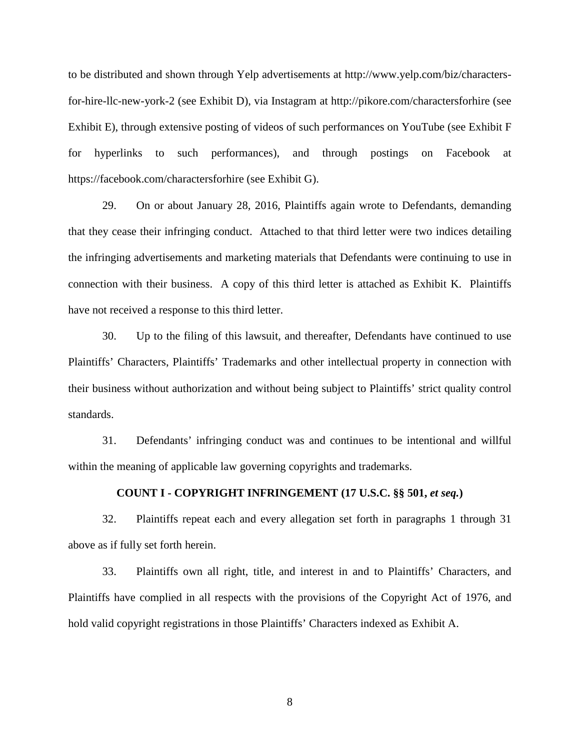to be distributed and shown through Yelp advertisements at http://www.yelp.com/biz/charactersfor-hire-llc-new-york-2 (see Exhibit D), via Instagram at http://pikore.com/charactersforhire (see Exhibit E), through extensive posting of videos of such performances on YouTube (see Exhibit F for hyperlinks to such performances), and through postings on Facebook at https://facebook.com/charactersforhire (see Exhibit G).

29. On or about January 28, 2016, Plaintiffs again wrote to Defendants, demanding that they cease their infringing conduct. Attached to that third letter were two indices detailing the infringing advertisements and marketing materials that Defendants were continuing to use in connection with their business. A copy of this third letter is attached as Exhibit K. Plaintiffs have not received a response to this third letter.

30. Up to the filing of this lawsuit, and thereafter, Defendants have continued to use Plaintiffs' Characters, Plaintiffs' Trademarks and other intellectual property in connection with their business without authorization and without being subject to Plaintiffs' strict quality control standards.

31. Defendants' infringing conduct was and continues to be intentional and willful within the meaning of applicable law governing copyrights and trademarks.

## **COUNT I - COPYRIGHT INFRINGEMENT (17 U.S.C. §§ 501,** *et seq.***)**

32. Plaintiffs repeat each and every allegation set forth in paragraphs 1 through 31 above as if fully set forth herein.

33. Plaintiffs own all right, title, and interest in and to Plaintiffs' Characters, and Plaintiffs have complied in all respects with the provisions of the Copyright Act of 1976, and hold valid copyright registrations in those Plaintiffs' Characters indexed as Exhibit A.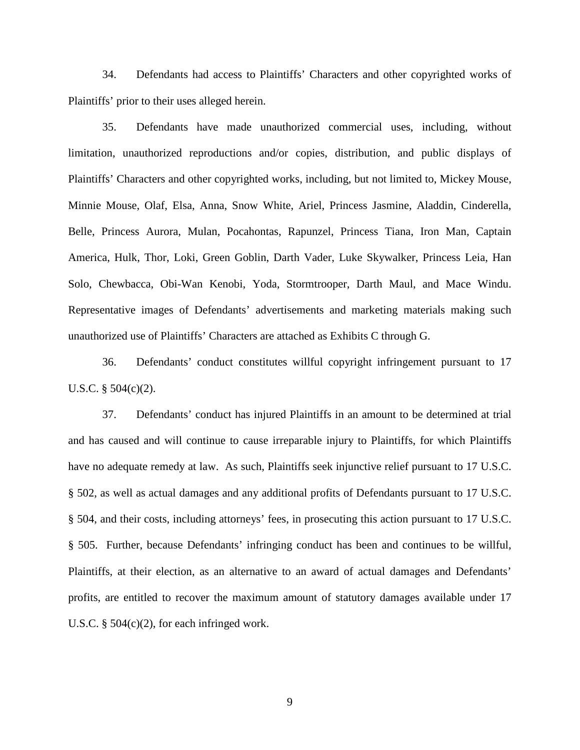34. Defendants had access to Plaintiffs' Characters and other copyrighted works of Plaintiffs' prior to their uses alleged herein.

35. Defendants have made unauthorized commercial uses, including, without limitation, unauthorized reproductions and/or copies, distribution, and public displays of Plaintiffs' Characters and other copyrighted works, including, but not limited to, Mickey Mouse, Minnie Mouse, Olaf, Elsa, Anna, Snow White, Ariel, Princess Jasmine, Aladdin, Cinderella, Belle, Princess Aurora, Mulan, Pocahontas, Rapunzel, Princess Tiana, Iron Man, Captain America, Hulk, Thor, Loki, Green Goblin, Darth Vader, Luke Skywalker, Princess Leia, Han Solo, Chewbacca, Obi-Wan Kenobi, Yoda, Stormtrooper, Darth Maul, and Mace Windu. Representative images of Defendants' advertisements and marketing materials making such unauthorized use of Plaintiffs' Characters are attached as Exhibits C through G.

36. Defendants' conduct constitutes willful copyright infringement pursuant to 17 U.S.C.  $\S$  504(c)(2).

37. Defendants' conduct has injured Plaintiffs in an amount to be determined at trial and has caused and will continue to cause irreparable injury to Plaintiffs, for which Plaintiffs have no adequate remedy at law. As such, Plaintiffs seek injunctive relief pursuant to 17 U.S.C. § 502, as well as actual damages and any additional profits of Defendants pursuant to 17 U.S.C. § 504, and their costs, including attorneys' fees, in prosecuting this action pursuant to 17 U.S.C. § 505. Further, because Defendants' infringing conduct has been and continues to be willful, Plaintiffs, at their election, as an alternative to an award of actual damages and Defendants' profits, are entitled to recover the maximum amount of statutory damages available under 17 U.S.C. § 504(c)(2), for each infringed work.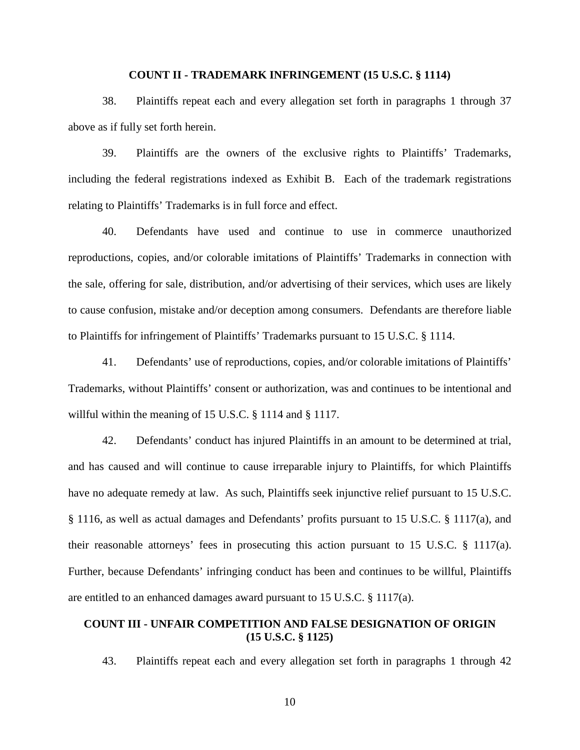#### **COUNT II - TRADEMARK INFRINGEMENT (15 U.S.C. § 1114)**

38. Plaintiffs repeat each and every allegation set forth in paragraphs 1 through 37 above as if fully set forth herein.

39. Plaintiffs are the owners of the exclusive rights to Plaintiffs' Trademarks, including the federal registrations indexed as Exhibit B. Each of the trademark registrations relating to Plaintiffs' Trademarks is in full force and effect.

40. Defendants have used and continue to use in commerce unauthorized reproductions, copies, and/or colorable imitations of Plaintiffs' Trademarks in connection with the sale, offering for sale, distribution, and/or advertising of their services, which uses are likely to cause confusion, mistake and/or deception among consumers. Defendants are therefore liable to Plaintiffs for infringement of Plaintiffs' Trademarks pursuant to 15 U.S.C. § 1114.

41. Defendants' use of reproductions, copies, and/or colorable imitations of Plaintiffs' Trademarks, without Plaintiffs' consent or authorization, was and continues to be intentional and willful within the meaning of 15 U.S.C. § 1114 and § 1117.

42. Defendants' conduct has injured Plaintiffs in an amount to be determined at trial, and has caused and will continue to cause irreparable injury to Plaintiffs, for which Plaintiffs have no adequate remedy at law. As such, Plaintiffs seek injunctive relief pursuant to 15 U.S.C. § 1116, as well as actual damages and Defendants' profits pursuant to 15 U.S.C. § 1117(a), and their reasonable attorneys' fees in prosecuting this action pursuant to 15 U.S.C. § 1117(a). Further, because Defendants' infringing conduct has been and continues to be willful, Plaintiffs are entitled to an enhanced damages award pursuant to 15 U.S.C. § 1117(a).

# **COUNT III - UNFAIR COMPETITION AND FALSE DESIGNATION OF ORIGIN (15 U.S.C. § 1125)**

43. Plaintiffs repeat each and every allegation set forth in paragraphs 1 through 42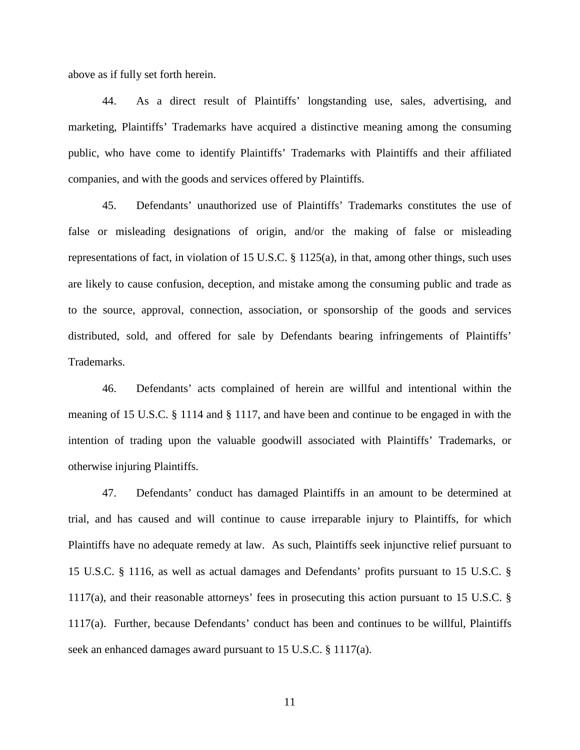above as if fully set forth herein.

44. As a direct result of Plaintiffs' longstanding use, sales, advertising, and marketing, Plaintiffs' Trademarks have acquired a distinctive meaning among the consuming public, who have come to identify Plaintiffs' Trademarks with Plaintiffs and their affiliated companies, and with the goods and services offered by Plaintiffs.

45. Defendants' unauthorized use of Plaintiffs' Trademarks constitutes the use of false or misleading designations of origin, and/or the making of false or misleading representations of fact, in violation of 15 U.S.C. § 1125(a), in that, among other things, such uses are likely to cause confusion, deception, and mistake among the consuming public and trade as to the source, approval, connection, association, or sponsorship of the goods and services distributed, sold, and offered for sale by Defendants bearing infringements of Plaintiffs' Trademarks.

46. Defendants' acts complained of herein are willful and intentional within the meaning of 15 U.S.C. § 1114 and § 1117, and have been and continue to be engaged in with the intention of trading upon the valuable goodwill associated with Plaintiffs' Trademarks, or otherwise injuring Plaintiffs.

47. Defendants' conduct has damaged Plaintiffs in an amount to be determined at trial, and has caused and will continue to cause irreparable injury to Plaintiffs, for which Plaintiffs have no adequate remedy at law. As such, Plaintiffs seek injunctive relief pursuant to 15 U.S.C. § 1116, as well as actual damages and Defendants' profits pursuant to 15 U.S.C. § 1117(a), and their reasonable attorneys' fees in prosecuting this action pursuant to 15 U.S.C. § 1117(a). Further, because Defendants' conduct has been and continues to be willful, Plaintiffs seek an enhanced damages award pursuant to 15 U.S.C. § 1117(a).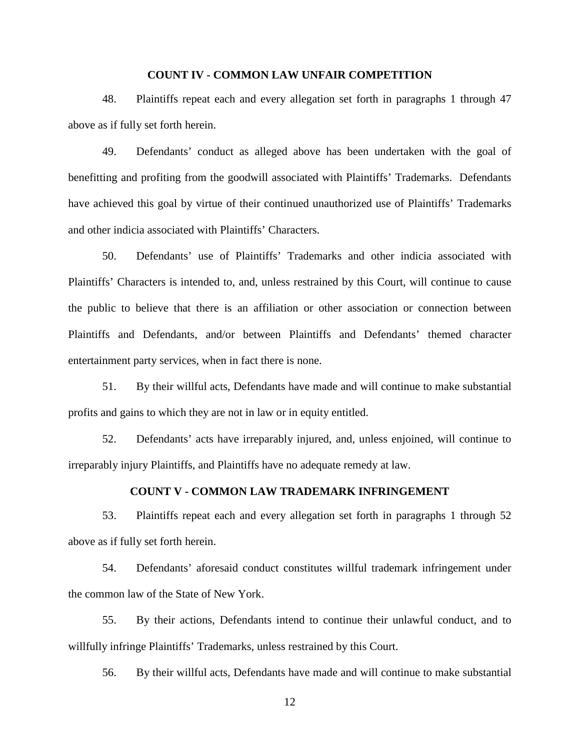## **COUNT IV - COMMON LAW UNFAIR COMPETITION**

48. Plaintiffs repeat each and every allegation set forth in paragraphs 1 through 47 above as if fully set forth herein.

49. Defendants' conduct as alleged above has been undertaken with the goal of benefitting and profiting from the goodwill associated with Plaintiffs' Trademarks. Defendants have achieved this goal by virtue of their continued unauthorized use of Plaintiffs' Trademarks and other indicia associated with Plaintiffs' Characters.

50. Defendants' use of Plaintiffs' Trademarks and other indicia associated with Plaintiffs' Characters is intended to, and, unless restrained by this Court, will continue to cause the public to believe that there is an affiliation or other association or connection between Plaintiffs and Defendants, and/or between Plaintiffs and Defendants' themed character entertainment party services, when in fact there is none.

51. By their willful acts, Defendants have made and will continue to make substantial profits and gains to which they are not in law or in equity entitled.

52. Defendants' acts have irreparably injured, and, unless enjoined, will continue to irreparably injury Plaintiffs, and Plaintiffs have no adequate remedy at law.

# **COUNT V - COMMON LAW TRADEMARK INFRINGEMENT**

53. Plaintiffs repeat each and every allegation set forth in paragraphs 1 through 52 above as if fully set forth herein.

54. Defendants' aforesaid conduct constitutes willful trademark infringement under the common law of the State of New York.

55. By their actions, Defendants intend to continue their unlawful conduct, and to willfully infringe Plaintiffs' Trademarks, unless restrained by this Court.

56. By their willful acts, Defendants have made and will continue to make substantial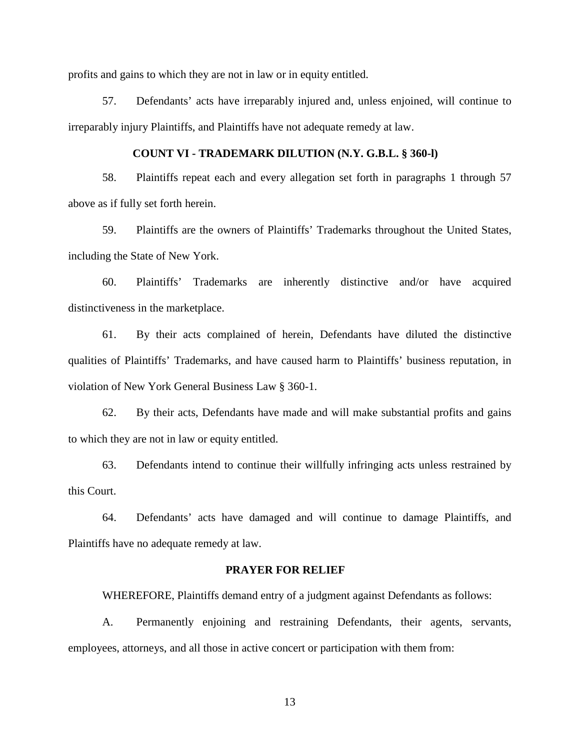profits and gains to which they are not in law or in equity entitled.

57. Defendants' acts have irreparably injured and, unless enjoined, will continue to irreparably injury Plaintiffs, and Plaintiffs have not adequate remedy at law.

# **COUNT VI - TRADEMARK DILUTION (N.Y. G.B.L. § 360-l)**

58. Plaintiffs repeat each and every allegation set forth in paragraphs 1 through 57 above as if fully set forth herein.

59. Plaintiffs are the owners of Plaintiffs' Trademarks throughout the United States, including the State of New York.

60. Plaintiffs' Trademarks are inherently distinctive and/or have acquired distinctiveness in the marketplace.

61. By their acts complained of herein, Defendants have diluted the distinctive qualities of Plaintiffs' Trademarks, and have caused harm to Plaintiffs' business reputation, in violation of New York General Business Law § 360-1.

62. By their acts, Defendants have made and will make substantial profits and gains to which they are not in law or equity entitled.

63. Defendants intend to continue their willfully infringing acts unless restrained by this Court.

64. Defendants' acts have damaged and will continue to damage Plaintiffs, and Plaintiffs have no adequate remedy at law.

### **PRAYER FOR RELIEF**

WHEREFORE, Plaintiffs demand entry of a judgment against Defendants as follows:

A. Permanently enjoining and restraining Defendants, their agents, servants, employees, attorneys, and all those in active concert or participation with them from: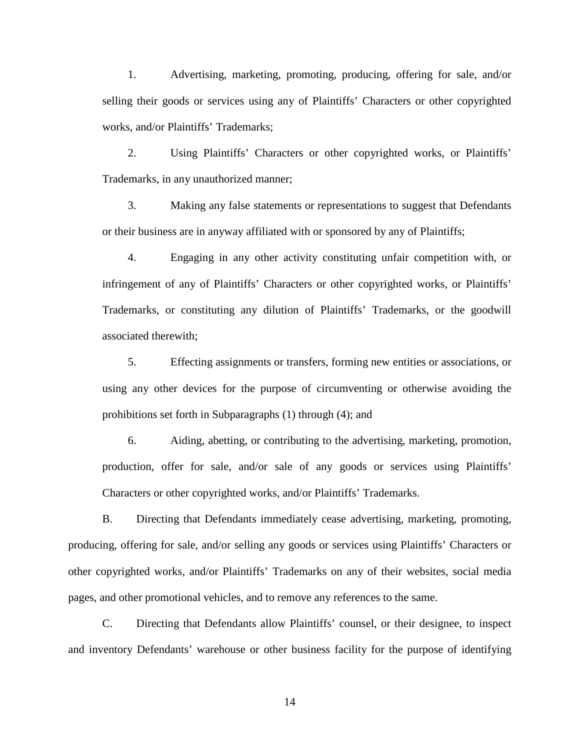1. Advertising, marketing, promoting, producing, offering for sale, and/or selling their goods or services using any of Plaintiffs' Characters or other copyrighted works, and/or Plaintiffs' Trademarks;

2. Using Plaintiffs' Characters or other copyrighted works, or Plaintiffs' Trademarks, in any unauthorized manner;

3. Making any false statements or representations to suggest that Defendants or their business are in anyway affiliated with or sponsored by any of Plaintiffs;

4. Engaging in any other activity constituting unfair competition with, or infringement of any of Plaintiffs' Characters or other copyrighted works, or Plaintiffs' Trademarks, or constituting any dilution of Plaintiffs' Trademarks, or the goodwill associated therewith;

5. Effecting assignments or transfers, forming new entities or associations, or using any other devices for the purpose of circumventing or otherwise avoiding the prohibitions set forth in Subparagraphs (1) through (4); and

6. Aiding, abetting, or contributing to the advertising, marketing, promotion, production, offer for sale, and/or sale of any goods or services using Plaintiffs' Characters or other copyrighted works, and/or Plaintiffs' Trademarks.

B. Directing that Defendants immediately cease advertising, marketing, promoting, producing, offering for sale, and/or selling any goods or services using Plaintiffs' Characters or other copyrighted works, and/or Plaintiffs' Trademarks on any of their websites, social media pages, and other promotional vehicles, and to remove any references to the same.

C. Directing that Defendants allow Plaintiffs' counsel, or their designee, to inspect and inventory Defendants' warehouse or other business facility for the purpose of identifying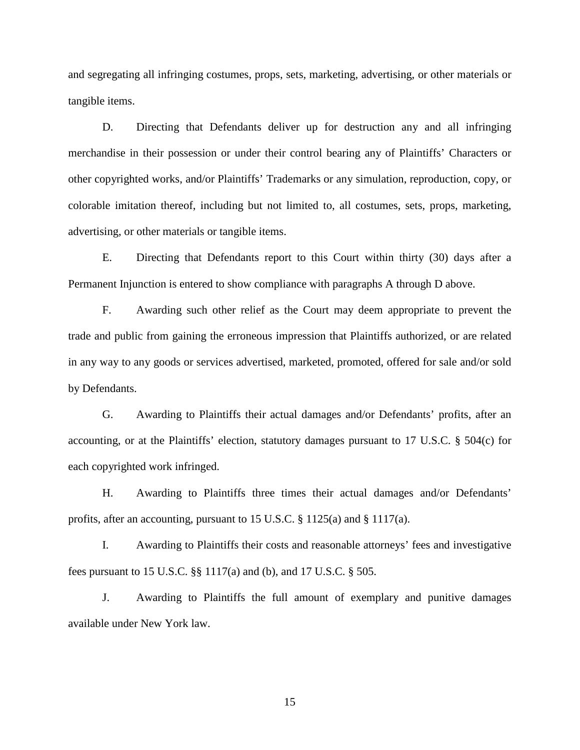and segregating all infringing costumes, props, sets, marketing, advertising, or other materials or tangible items.

D. Directing that Defendants deliver up for destruction any and all infringing merchandise in their possession or under their control bearing any of Plaintiffs' Characters or other copyrighted works, and/or Plaintiffs' Trademarks or any simulation, reproduction, copy, or colorable imitation thereof, including but not limited to, all costumes, sets, props, marketing, advertising, or other materials or tangible items.

E. Directing that Defendants report to this Court within thirty (30) days after a Permanent Injunction is entered to show compliance with paragraphs A through D above.

F. Awarding such other relief as the Court may deem appropriate to prevent the trade and public from gaining the erroneous impression that Plaintiffs authorized, or are related in any way to any goods or services advertised, marketed, promoted, offered for sale and/or sold by Defendants.

G. Awarding to Plaintiffs their actual damages and/or Defendants' profits, after an accounting, or at the Plaintiffs' election, statutory damages pursuant to 17 U.S.C. § 504(c) for each copyrighted work infringed.

H. Awarding to Plaintiffs three times their actual damages and/or Defendants' profits, after an accounting, pursuant to 15 U.S.C. § 1125(a) and § 1117(a).

I. Awarding to Plaintiffs their costs and reasonable attorneys' fees and investigative fees pursuant to 15 U.S.C. §§ 1117(a) and (b), and 17 U.S.C. § 505.

J. Awarding to Plaintiffs the full amount of exemplary and punitive damages available under New York law.